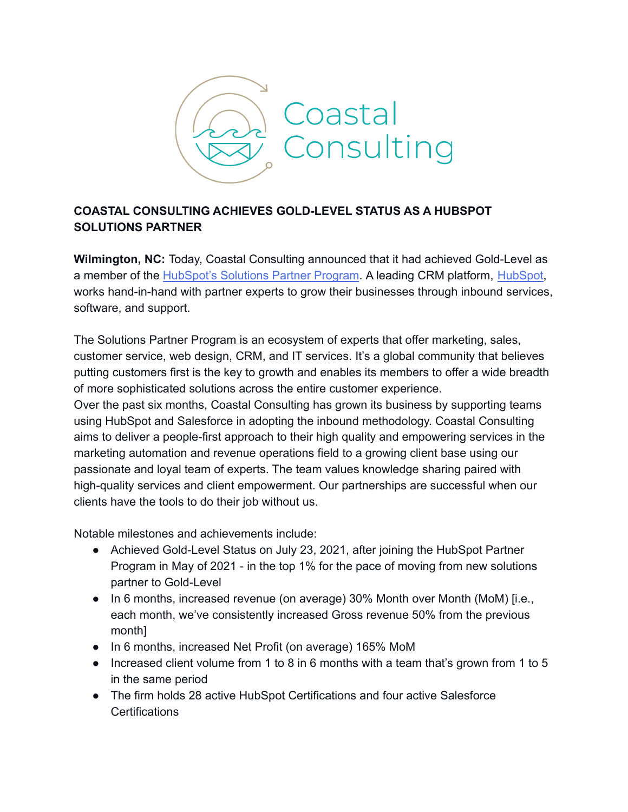

## **COASTAL CONSULTING ACHIEVES GOLD-LEVEL STATUS AS A HUBSPOT SOLUTIONS PARTNER**

**Wilmington, NC:** Today, Coastal Consulting announced that it had achieved Gold-Level as a member of the [HubSpot's](https://www.hubspot.com/partners) Solutions Partner Program. A leading CRM platform, [HubSpot,](https://www.hubspot.com/) works hand-in-hand with partner experts to grow their businesses through inbound services, software, and support.

The Solutions Partner Program is an ecosystem of experts that offer marketing, sales, customer service, web design, CRM, and IT services. It's a global community that believes putting customers first is the key to growth and enables its members to offer a wide breadth of more sophisticated solutions across the entire customer experience.

Over the past six months, Coastal Consulting has grown its business by supporting teams using HubSpot and Salesforce in adopting the inbound methodology. Coastal Consulting aims to deliver a people-first approach to their high quality and empowering services in the marketing automation and revenue operations field to a growing client base using our passionate and loyal team of experts. The team values knowledge sharing paired with high-quality services and client empowerment. Our partnerships are successful when our clients have the tools to do their job without us.

Notable milestones and achievements include:

- Achieved Gold-Level Status on July 23, 2021, after joining the HubSpot Partner Program in May of 2021 - in the top 1% for the pace of moving from new solutions partner to Gold-Level
- In 6 months, increased revenue (on average) 30% Month over Month (MoM) [i.e., each month, we've consistently increased Gross revenue 50% from the previous month]
- In 6 months, increased Net Profit (on average) 165% MoM
- Increased client volume from 1 to 8 in 6 months with a team that's grown from 1 to 5 in the same period
- The firm holds 28 active HubSpot Certifications and four active Salesforce **Certifications**